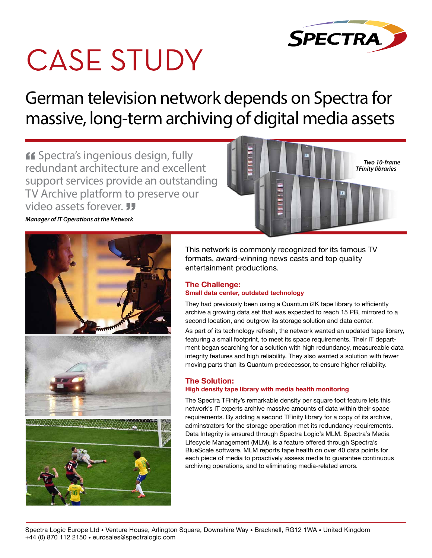

# **CASE STUDY**

German television network depends on Spectra for massive, long-term archiving of digital media assets

**If** Spectra's ingenious design, fully redundant architecture and excellent support services provide an outstanding TV Archive platform to preserve our video assets forever.



*Manager of IT Operations at the Network*



This network is commonly recognized for its famous TV formats, award-winning news casts and top quality entertainment productions.

### **The Challenge:**

#### **Small data center, outdated technology**

They had previously been using a Quantum i2K tape library to efficiently archive a growing data set that was expected to reach 15 PB, mirrored to a second location, and outgrow its storage solution and data center.

As part of its technology refresh, the network wanted an updated tape library, featuring a small footprint, to meet its space requirements. Their IT department began searching for a solution with high redundancy, measureable data integrity features and high reliability. They also wanted a solution with fewer moving parts than its Quantum predecessor, to ensure higher reliability.

#### **The Solution:**

#### **High density tape library with media health monitoring**

The Spectra TFinity's remarkable density per square foot feature lets this network's IT experts archive massive amounts of data within their space requirements. By adding a second TFinity library for a copy of its archive, adminstrators for the storage operation met its redundancy requirements. Data Integrity is ensured through Spectra Logic's MLM. Spectra's Media Lifecycle Management (MLM), is a feature offered through Spectra's BlueScale software. MLM reports tape health on over 40 data points for each piece of media to proactively assess media to guarantee continuous archiving operations, and to eliminating media-related errors.